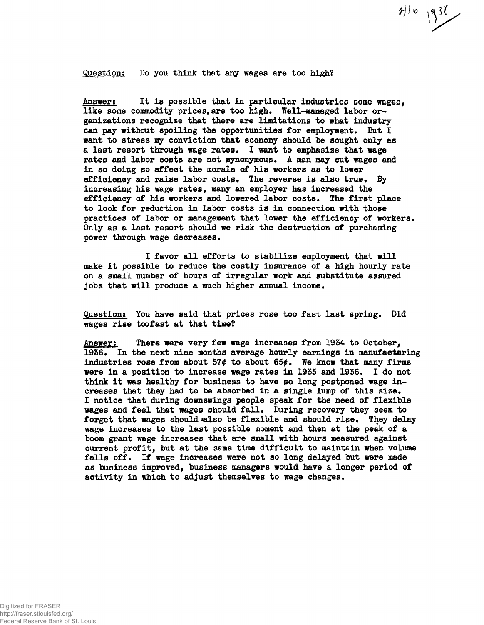**Question: Do you think that any wages are too high?**

**Answer: It Is possible that in particular industries some wages,** like some commodity prices, are too high. Well-managed labor or**ganizations recognize that there are limitations to what industry** can pay without spoiling the opportunities for employment. But I want to stress my conviction that economy should be sought only as **a last resort through wage rates\* I want to emphasize that wage rates and labor costs are not synonymous. A man may cut wages and in so doing so affect the morale of his workers as to lower efficiency and raise labor costs. The reverse is also true\* By** increasing his wage rates, many an employer has increased the **efficiency of his workers and lowered labor costs\* The first place to look for reduction in labor costs is in connection with those practices of labor or management that lower the efficiency of workers, Only as a last resort should we risk the destruction of purchasing power through wage decreases.**

 $716$  1938

**I favor all efforts to stabilize employment that will make it possible to reduce the costly insurance of a high hourly rate on a small number of hours of irregular work and substitute assured** jobs that will produce a much higher annual income.

**Question: You have said that prices rose too fast last spring. Did wages rise toofast at that time?**

**Answer: There were very few wage increases from 1954 to October,** 1936. In the next nine months average hourly earnings in manufacturing industries rose from about  $57¢$  to about  $65¢$ . We know that many firms **were in a position to increase wage rates in 1935 and 1956\* I do not think it was healthy for business to have so long postponed wage increases that they had to be absorbed in a single lump of this size\* I notice that during downswings people speak for the need of flexible wages and feel that wages should fall. During recovery they seem to** forget that wages should also be flexible and should rise. They delay **wage increases to the last possible moment and then at the peak of a boom grant wage increases that are small with hours measured against current profit, but at the same time difficult to maintain when volume falls off. If wage increases were not so long delayed but were made as business improved, business managers would have a longer period of** activity in which to adjust themselves to wage changes.